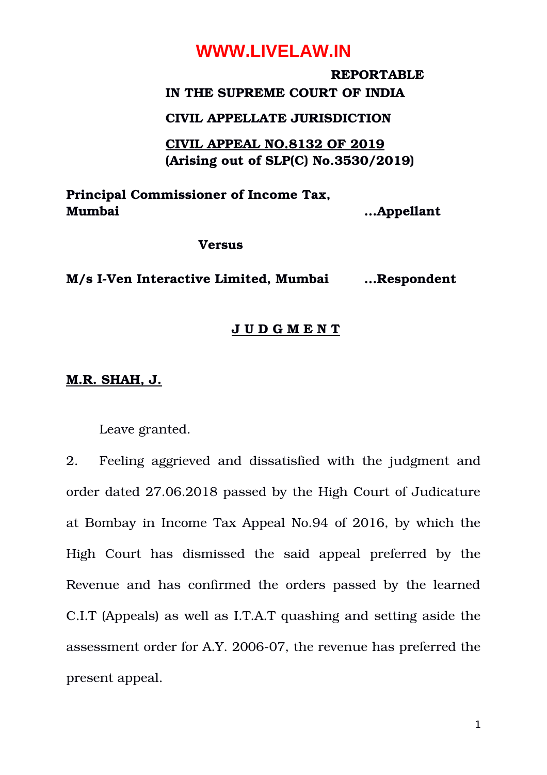### **REPORTABLE IN THE SUPREME COURT OF INDIA**

### **CIVIL APPELLATE JURISDICTION**

**CIVIL APPEAL NO.8132 OF 2019 (Arising out of SLP(C) No.3530/2019)**

**Principal Commissioner of Income Tax, Mumbai …Appellant**

#### **Versus**

**M/s IVen Interactive Limited, Mumbai …Respondent**

### **J U D G M E N T**

### **M.R. SHAH, J.**

Leave granted.

2. Feeling aggrieved and dissatisfied with the judgment and order dated 27.06.2018 passed by the High Court of Judicature at Bombay in Income Tax Appeal No.94 of 2016, by which the High Court has dismissed the said appeal preferred by the Revenue and has confirmed the orders passed by the learned C.I.T (Appeals) as well as I.T.A.T quashing and setting aside the assessment order for A.Y. 2006-07, the revenue has preferred the present appeal.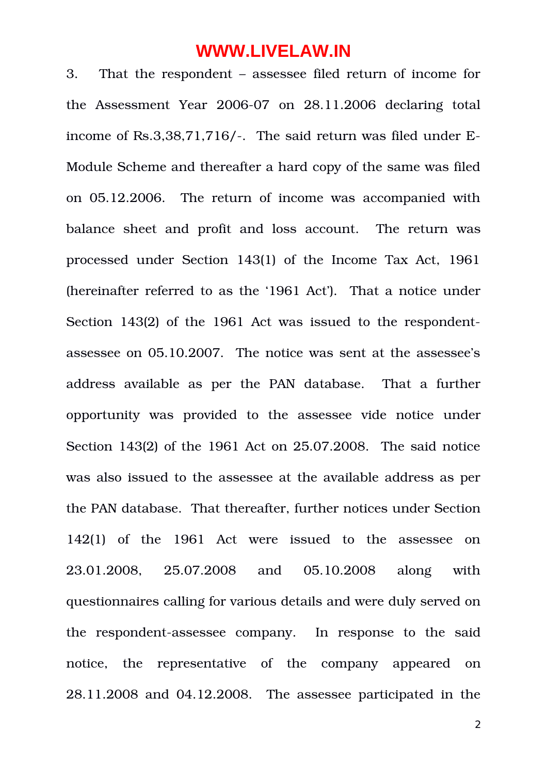3. That the respondent – assessee filed return of income for the Assessment Year  $2006-07$  on  $28.11.2006$  declaring total income of Rs.3,38,71,716/-. The said return was filed under E-Module Scheme and thereafter a hard copy of the same was filed on 05.12.2006. The return of income was accompanied with balance sheet and profit and loss account. The return was processed under Section 143(1) of the Income Tax Act, 1961 (hereinafter referred to as the '1961 Act'). That a notice under Section 143(2) of the 1961 Act was issued to the respondentassessee on 05.10.2007. The notice was sent at the assessee's address available as per the PAN database. That a further opportunity was provided to the assessee vide notice under Section 143(2) of the 1961 Act on 25.07.2008. The said notice was also issued to the assessee at the available address as per the PAN database. That thereafter, further notices under Section 142(1) of the 1961 Act were issued to the assessee on 23.01.2008, 25.07.2008 and 05.10.2008 along with questionnaires calling for various details and were duly served on the respondent-assessee company. In response to the said notice, the representative of the company appeared on 28.11.2008 and 04.12.2008. The assessee participated in the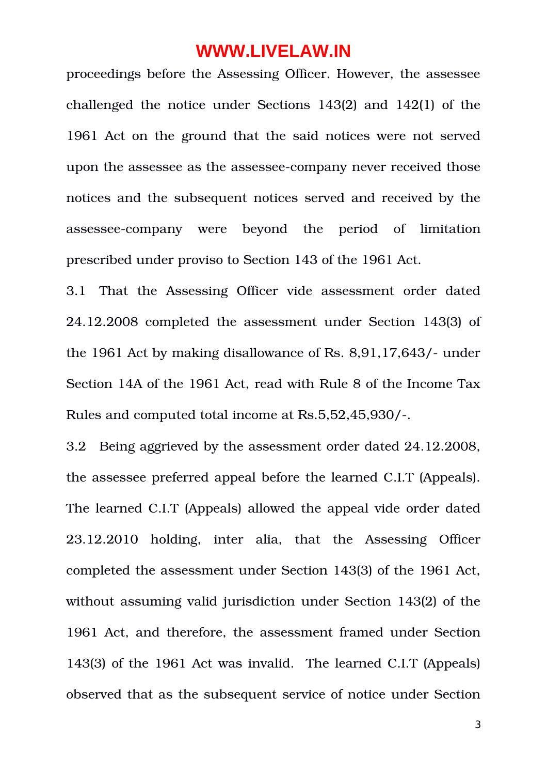proceedings before the Assessing Officer. However, the assessee challenged the notice under Sections 143(2) and 142(1) of the 1961 Act on the ground that the said notices were not served upon the assessee as the assessee-company never received those notices and the subsequent notices served and received by the assessee-company were beyond the period of limitation prescribed under proviso to Section 143 of the 1961 Act.

3.1 That the Assessing Officer vide assessment order dated 24.12.2008 completed the assessment under Section 143(3) of the 1961 Act by making disallowance of Rs. 8,91,17,643/- under Section 14A of the 1961 Act, read with Rule 8 of the Income Tax Rules and computed total income at Rs.5,52,45,930/.

3.2 Being aggrieved by the assessment order dated 24.12.2008, the assessee preferred appeal before the learned C.I.T (Appeals). The learned C.I.T (Appeals) allowed the appeal vide order dated 23.12.2010 holding, inter alia, that the Assessing Officer completed the assessment under Section 143(3) of the 1961 Act, without assuming valid jurisdiction under Section 143(2) of the 1961 Act, and therefore, the assessment framed under Section 143(3) of the 1961 Act was invalid. The learned C.I.T (Appeals) observed that as the subsequent service of notice under Section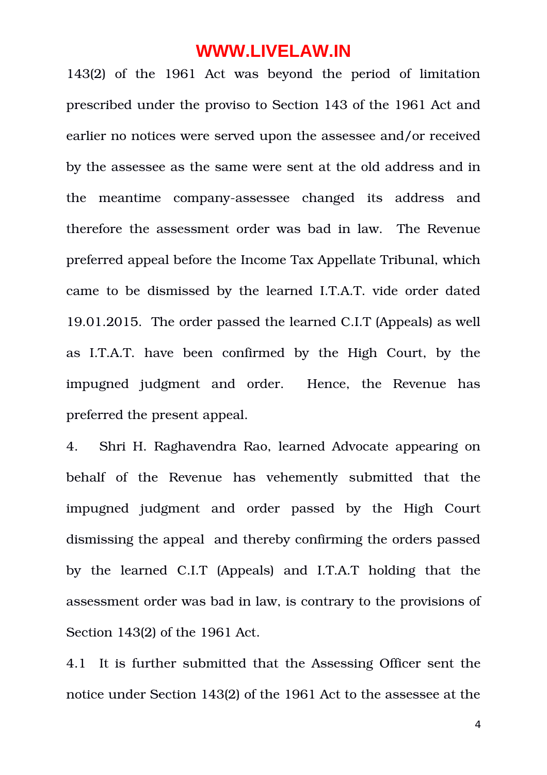143(2) of the 1961 Act was beyond the period of limitation prescribed under the proviso to Section 143 of the 1961 Act and earlier no notices were served upon the assessee and/or received by the assessee as the same were sent at the old address and in the meantime company-assessee changed its address and therefore the assessment order was bad in law. The Revenue preferred appeal before the Income Tax Appellate Tribunal, which came to be dismissed by the learned I.T.A.T. vide order dated 19.01.2015. The order passed the learned C.I.T (Appeals) as well as I.T.A.T. have been confirmed by the High Court, by the impugned judgment and order. Hence, the Revenue has preferred the present appeal.

4. Shri H. Raghavendra Rao, learned Advocate appearing on behalf of the Revenue has vehemently submitted that the impugned judgment and order passed by the High Court dismissing the appeal and thereby confirming the orders passed by the learned C.I.T (Appeals) and I.T.A.T holding that the assessment order was bad in law, is contrary to the provisions of Section 143(2) of the 1961 Act.

4.1 It is further submitted that the Assessing Officer sent the notice under Section 143(2) of the 1961 Act to the assessee at the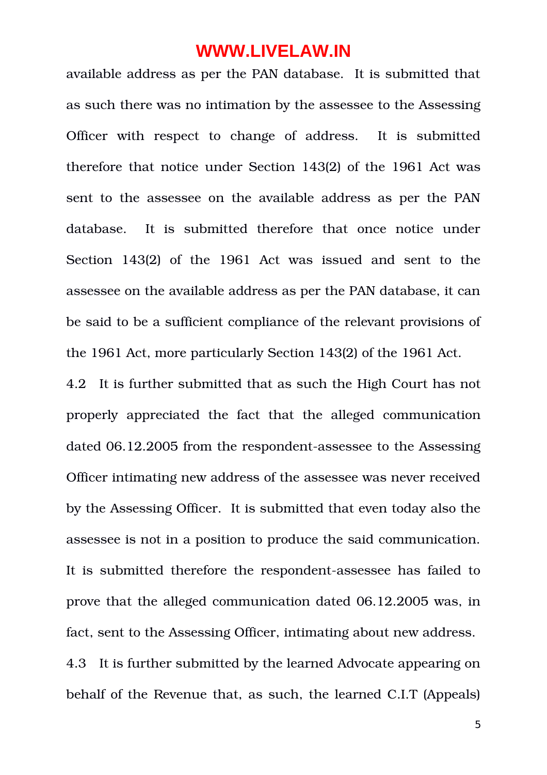available address as per the PAN database. It is submitted that as such there was no intimation by the assessee to the Assessing Officer with respect to change of address. It is submitted therefore that notice under Section 143(2) of the 1961 Act was sent to the assessee on the available address as per the PAN database. It is submitted therefore that once notice under Section 143(2) of the 1961 Act was issued and sent to the assessee on the available address as per the PAN database, it can be said to be a sufficient compliance of the relevant provisions of the 1961 Act, more particularly Section 143(2) of the 1961 Act.

4.2 It is further submitted that as such the High Court has not properly appreciated the fact that the alleged communication dated 06.12.2005 from the respondent-assessee to the Assessing Officer intimating new address of the assessee was never received by the Assessing Officer. It is submitted that even today also the assessee is not in a position to produce the said communication. It is submitted therefore the respondent-assessee has failed to prove that the alleged communication dated 06.12.2005 was, in fact, sent to the Assessing Officer, intimating about new address. 4.3 It is further submitted by the learned Advocate appearing on behalf of the Revenue that, as such, the learned C.I.T (Appeals)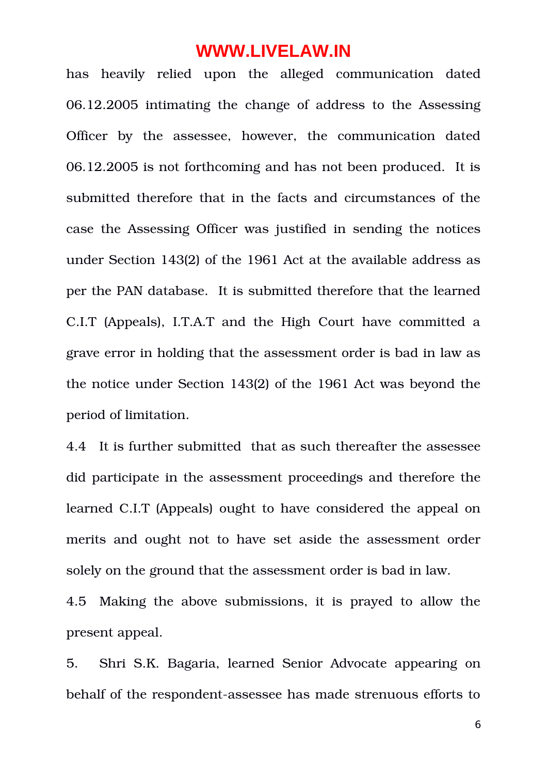has heavily relied upon the alleged communication dated 06.12.2005 intimating the change of address to the Assessing Officer by the assessee, however, the communication dated 06.12.2005 is not forthcoming and has not been produced. It is submitted therefore that in the facts and circumstances of the case the Assessing Officer was justified in sending the notices under Section 143(2) of the 1961 Act at the available address as per the PAN database. It is submitted therefore that the learned C.I.T (Appeals), I.T.A.T and the High Court have committed a grave error in holding that the assessment order is bad in law as the notice under Section 143(2) of the 1961 Act was beyond the period of limitation.

4.4 It is further submitted that as such thereafter the assessee did participate in the assessment proceedings and therefore the learned C.I.T (Appeals) ought to have considered the appeal on merits and ought not to have set aside the assessment order solely on the ground that the assessment order is bad in law.

4.5 Making the above submissions, it is prayed to allow the present appeal.

5. Shri S.K. Bagaria, learned Senior Advocate appearing on behalf of the respondent-assessee has made strenuous efforts to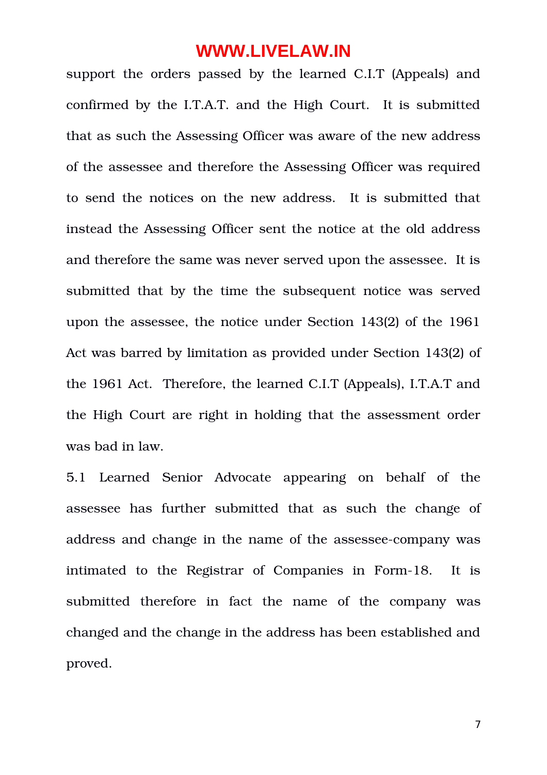support the orders passed by the learned C.I.T (Appeals) and confirmed by the I.T.A.T. and the High Court. It is submitted that as such the Assessing Officer was aware of the new address of the assessee and therefore the Assessing Officer was required to send the notices on the new address. It is submitted that instead the Assessing Officer sent the notice at the old address and therefore the same was never served upon the assessee. It is submitted that by the time the subsequent notice was served upon the assessee, the notice under Section 143(2) of the 1961 Act was barred by limitation as provided under Section 143(2) of the 1961 Act. Therefore, the learned C.I.T (Appeals), I.T.A.T and the High Court are right in holding that the assessment order was bad in law.

5.1 Learned Senior Advocate appearing on behalf of the assessee has further submitted that as such the change of address and change in the name of the assessee-company was intimated to the Registrar of Companies in Form-18. It is submitted therefore in fact the name of the company was changed and the change in the address has been established and proved.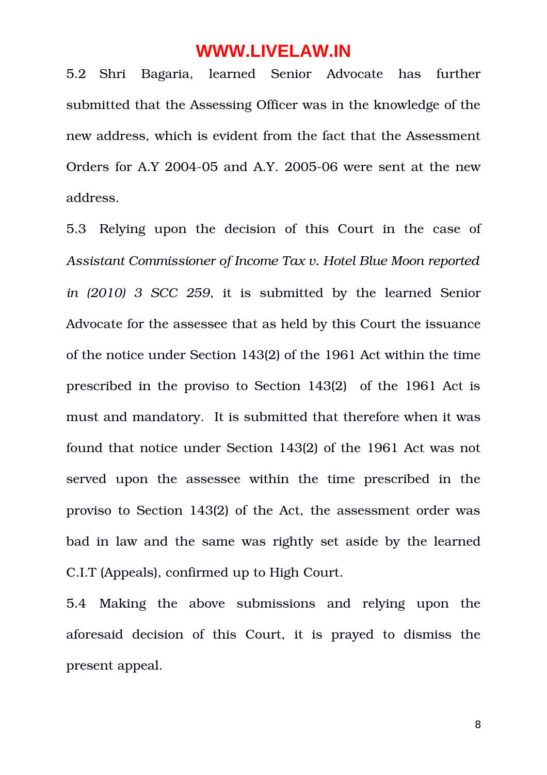5.2 Shri Bagaria, learned Senior Advocate has further submitted that the Assessing Officer was in the knowledge of the new address, which is evident from the fact that the Assessment Orders for A.Y  $2004-05$  and A.Y.  $2005-06$  were sent at the new address.

5.3 Relying upon the decision of this Court in the case of *Assistant Commissioner of Income Tax v. Hotel Blue Moon reported in (2010) 3 SCC 259*, it is submitted by the learned Senior Advocate for the assessee that as held by this Court the issuance of the notice under Section 143(2) of the 1961 Act within the time prescribed in the proviso to Section 143(2) of the 1961 Act is must and mandatory. It is submitted that therefore when it was found that notice under Section 143(2) of the 1961 Act was not served upon the assessee within the time prescribed in the proviso to Section 143(2) of the Act, the assessment order was bad in law and the same was rightly set aside by the learned C.I.T (Appeals), confirmed up to High Court.

5.4 Making the above submissions and relying upon the aforesaid decision of this Court, it is prayed to dismiss the present appeal.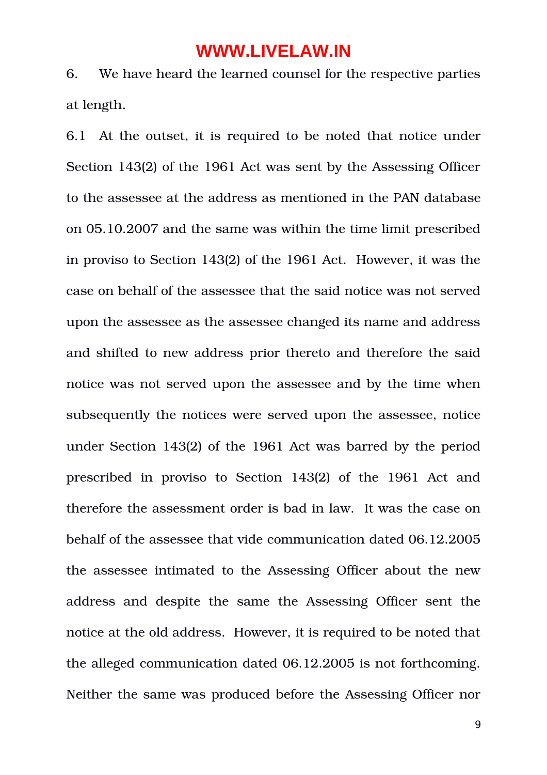6. We have heard the learned counsel for the respective parties at length.

6.1 At the outset, it is required to be noted that notice under Section 143(2) of the 1961 Act was sent by the Assessing Officer to the assessee at the address as mentioned in the PAN database on 05.10.2007 and the same was within the time limit prescribed in proviso to Section 143(2) of the 1961 Act. However, it was the case on behalf of the assessee that the said notice was not served upon the assessee as the assessee changed its name and address and shifted to new address prior thereto and therefore the said notice was not served upon the assessee and by the time when subsequently the notices were served upon the assessee, notice under Section 143(2) of the 1961 Act was barred by the period prescribed in proviso to Section 143(2) of the 1961 Act and therefore the assessment order is bad in law. It was the case on behalf of the assessee that vide communication dated 06.12.2005 the assessee intimated to the Assessing Officer about the new address and despite the same the Assessing Officer sent the notice at the old address. However, it is required to be noted that the alleged communication dated 06.12.2005 is not forthcoming. Neither the same was produced before the Assessing Officer nor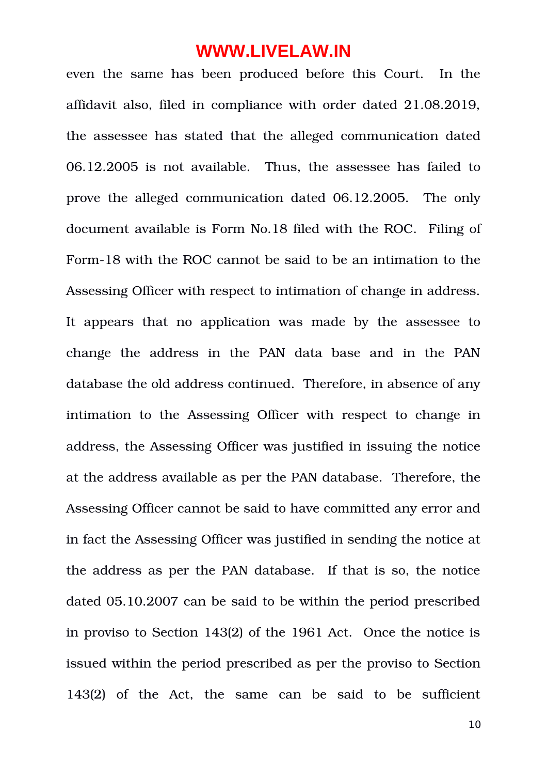even the same has been produced before this Court. In the affidavit also, filed in compliance with order dated 21.08.2019, the assessee has stated that the alleged communication dated 06.12.2005 is not available. Thus, the assessee has failed to prove the alleged communication dated 06.12.2005. The only document available is Form No.18 filed with the ROC. Filing of Form-18 with the ROC cannot be said to be an intimation to the Assessing Officer with respect to intimation of change in address. It appears that no application was made by the assessee to change the address in the PAN data base and in the PAN database the old address continued. Therefore, in absence of any intimation to the Assessing Officer with respect to change in address, the Assessing Officer was justified in issuing the notice at the address available as per the PAN database. Therefore, the Assessing Officer cannot be said to have committed any error and in fact the Assessing Officer was justified in sending the notice at the address as per the PAN database. If that is so, the notice dated 05.10.2007 can be said to be within the period prescribed in proviso to Section 143(2) of the 1961 Act. Once the notice is issued within the period prescribed as per the proviso to Section 143(2) of the Act, the same can be said to be sufficient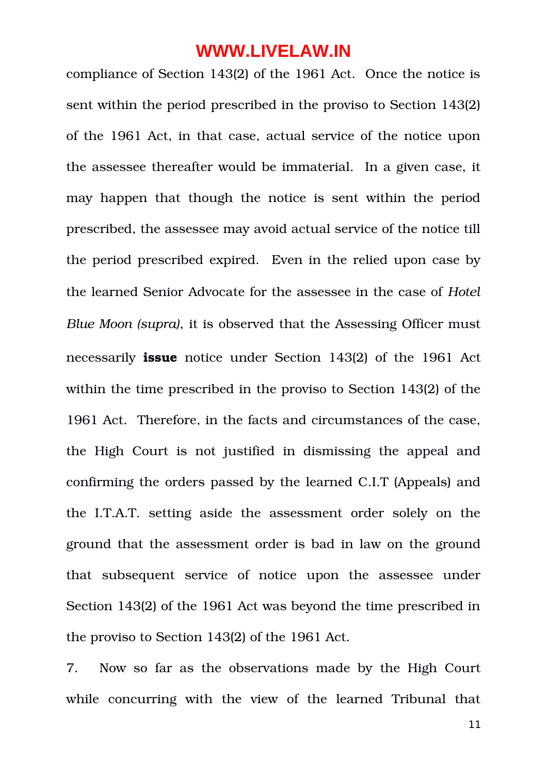compliance of Section 143(2) of the 1961 Act. Once the notice is sent within the period prescribed in the proviso to Section 143(2) of the 1961 Act, in that case, actual service of the notice upon the assessee thereafter would be immaterial. In a given case, it may happen that though the notice is sent within the period prescribed, the assessee may avoid actual service of the notice till the period prescribed expired. Even in the relied upon case by the learned Senior Advocate for the assessee in the case of *Hotel Blue Moon (supra)*, it is observed that the Assessing Officer must necessarily **issue** notice under Section 143(2) of the 1961 Act within the time prescribed in the proviso to Section 143(2) of the 1961 Act. Therefore, in the facts and circumstances of the case, the High Court is not justified in dismissing the appeal and confirming the orders passed by the learned C.I.T (Appeals) and the I.T.A.T. setting aside the assessment order solely on the ground that the assessment order is bad in law on the ground that subsequent service of notice upon the assessee under Section 143(2) of the 1961 Act was beyond the time prescribed in the proviso to Section 143(2) of the 1961 Act.

7. Now so far as the observations made by the High Court while concurring with the view of the learned Tribunal that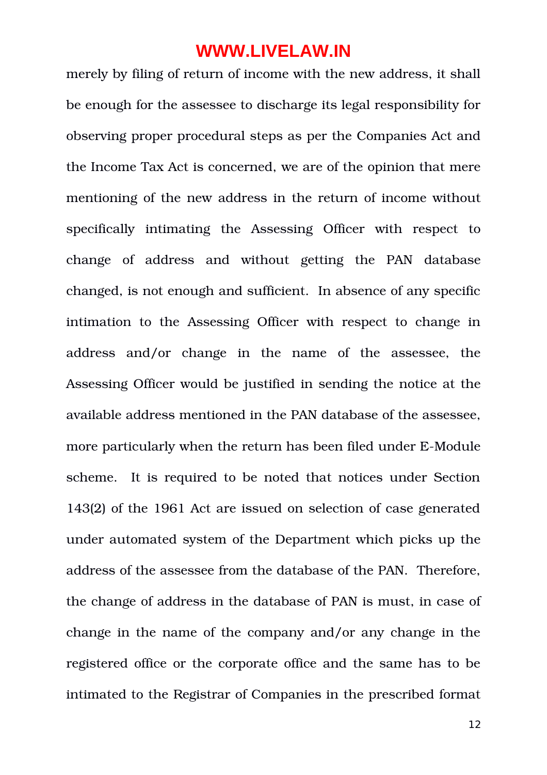merely by filing of return of income with the new address, it shall be enough for the assessee to discharge its legal responsibility for observing proper procedural steps as per the Companies Act and the Income Tax Act is concerned, we are of the opinion that mere mentioning of the new address in the return of income without specifically intimating the Assessing Officer with respect to change of address and without getting the PAN database changed, is not enough and sufficient. In absence of any specific intimation to the Assessing Officer with respect to change in address and/or change in the name of the assessee, the Assessing Officer would be justified in sending the notice at the available address mentioned in the PAN database of the assessee, more particularly when the return has been filed under E-Module scheme. It is required to be noted that notices under Section 143(2) of the 1961 Act are issued on selection of case generated under automated system of the Department which picks up the address of the assessee from the database of the PAN. Therefore, the change of address in the database of PAN is must, in case of change in the name of the company and/or any change in the registered office or the corporate office and the same has to be intimated to the Registrar of Companies in the prescribed format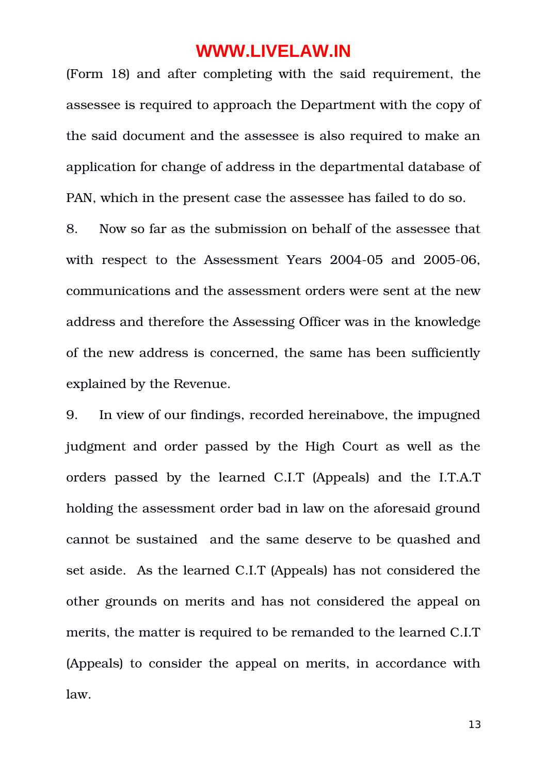(Form 18) and after completing with the said requirement, the assessee is required to approach the Department with the copy of the said document and the assessee is also required to make an application for change of address in the departmental database of PAN, which in the present case the assessee has failed to do so.

8. Now so far as the submission on behalf of the assessee that with respect to the Assessment Years 2004-05 and 2005-06, communications and the assessment orders were sent at the new address and therefore the Assessing Officer was in the knowledge of the new address is concerned, the same has been sufficiently explained by the Revenue.

9. In view of our findings, recorded hereinabove, the impugned judgment and order passed by the High Court as well as the orders passed by the learned C.I.T (Appeals) and the I.T.A.T holding the assessment order bad in law on the aforesaid ground cannot be sustained and the same deserve to be quashed and set aside. As the learned C.I.T (Appeals) has not considered the other grounds on merits and has not considered the appeal on merits, the matter is required to be remanded to the learned C.I.T (Appeals) to consider the appeal on merits, in accordance with law.